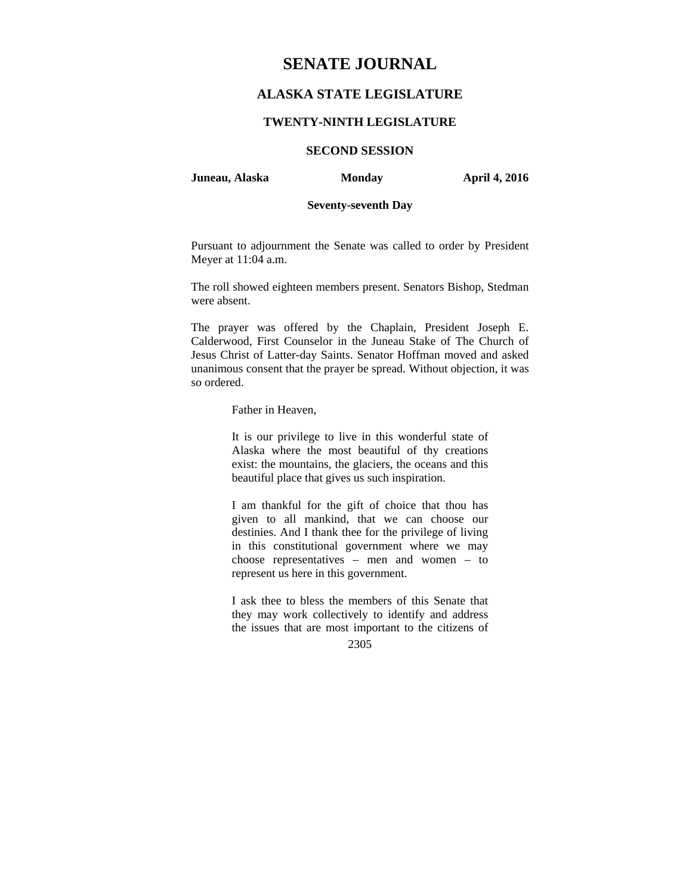# **SENATE JOURNAL**

# **ALASKA STATE LEGISLATURE**

#### **TWENTY-NINTH LEGISLATURE**

## **SECOND SESSION**

#### **Juneau, Alaska Monday April 4, 2016**

#### **Seventy-seventh Day**

Pursuant to adjournment the Senate was called to order by President Meyer at 11:04 a.m.

The roll showed eighteen members present. Senators Bishop, Stedman were absent.

The prayer was offered by the Chaplain, President Joseph E. Calderwood, First Counselor in the Juneau Stake of The Church of Jesus Christ of Latter-day Saints. Senator Hoffman moved and asked unanimous consent that the prayer be spread. Without objection, it was so ordered.

Father in Heaven,

It is our privilege to live in this wonderful state of Alaska where the most beautiful of thy creations exist: the mountains, the glaciers, the oceans and this beautiful place that gives us such inspiration.

I am thankful for the gift of choice that thou has given to all mankind, that we can choose our destinies. And I thank thee for the privilege of living in this constitutional government where we may choose representatives – men and women – to represent us here in this government.

I ask thee to bless the members of this Senate that they may work collectively to identify and address the issues that are most important to the citizens of

2305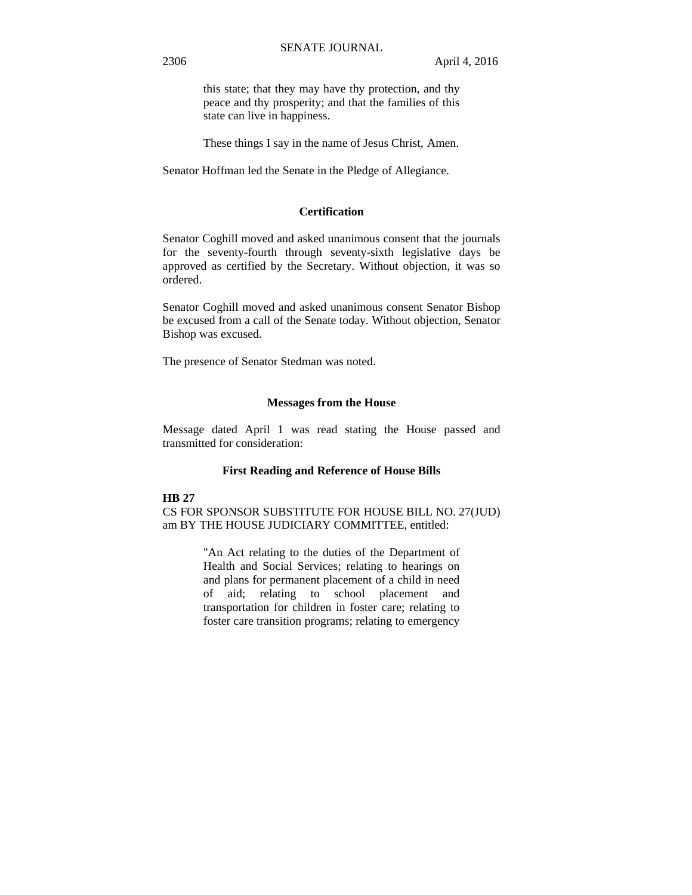this state; that they may have thy protection, and thy peace and thy prosperity; and that the families of this state can live in happiness.

These things I say in the name of Jesus Christ, Amen.

Senator Hoffman led the Senate in the Pledge of Allegiance.

#### **Certification**

Senator Coghill moved and asked unanimous consent that the journals for the seventy-fourth through seventy-sixth legislative days be approved as certified by the Secretary. Without objection, it was so ordered.

Senator Coghill moved and asked unanimous consent Senator Bishop be excused from a call of the Senate today. Without objection, Senator Bishop was excused.

The presence of Senator Stedman was noted.

#### **Messages from the House**

Message dated April 1 was read stating the House passed and transmitted for consideration:

#### **First Reading and Reference of House Bills**

#### **HB 27**

CS FOR SPONSOR SUBSTITUTE FOR HOUSE BILL NO. 27(JUD) am BY THE HOUSE JUDICIARY COMMITTEE, entitled:

> "An Act relating to the duties of the Department of Health and Social Services; relating to hearings on and plans for permanent placement of a child in need of aid; relating to school placement and transportation for children in foster care; relating to foster care transition programs; relating to emergency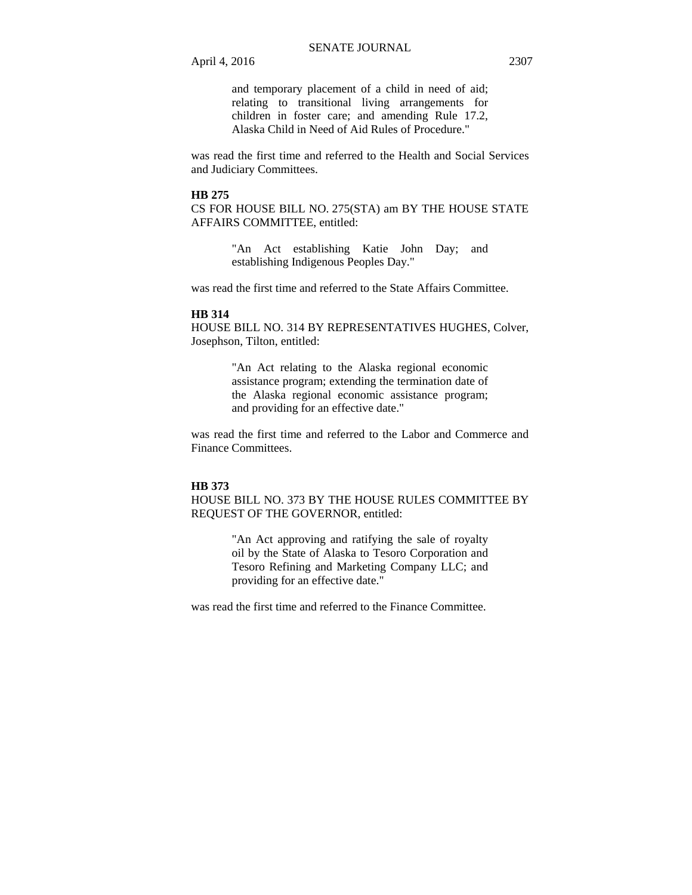April 4, 2016 2307

and temporary placement of a child in need of aid; relating to transitional living arrangements for children in foster care; and amending Rule 17.2, Alaska Child in Need of Aid Rules of Procedure."

was read the first time and referred to the Health and Social Services and Judiciary Committees.

#### **HB 275**

CS FOR HOUSE BILL NO. 275(STA) am BY THE HOUSE STATE AFFAIRS COMMITTEE, entitled:

> "An Act establishing Katie John Day; and establishing Indigenous Peoples Day."

was read the first time and referred to the State Affairs Committee.

#### **HB 314**

HOUSE BILL NO. 314 BY REPRESENTATIVES HUGHES, Colver, Josephson, Tilton, entitled:

> "An Act relating to the Alaska regional economic assistance program; extending the termination date of the Alaska regional economic assistance program; and providing for an effective date."

was read the first time and referred to the Labor and Commerce and Finance Committees.

#### **HB 373**

HOUSE BILL NO. 373 BY THE HOUSE RULES COMMITTEE BY REQUEST OF THE GOVERNOR, entitled:

> "An Act approving and ratifying the sale of royalty oil by the State of Alaska to Tesoro Corporation and Tesoro Refining and Marketing Company LLC; and providing for an effective date."

was read the first time and referred to the Finance Committee.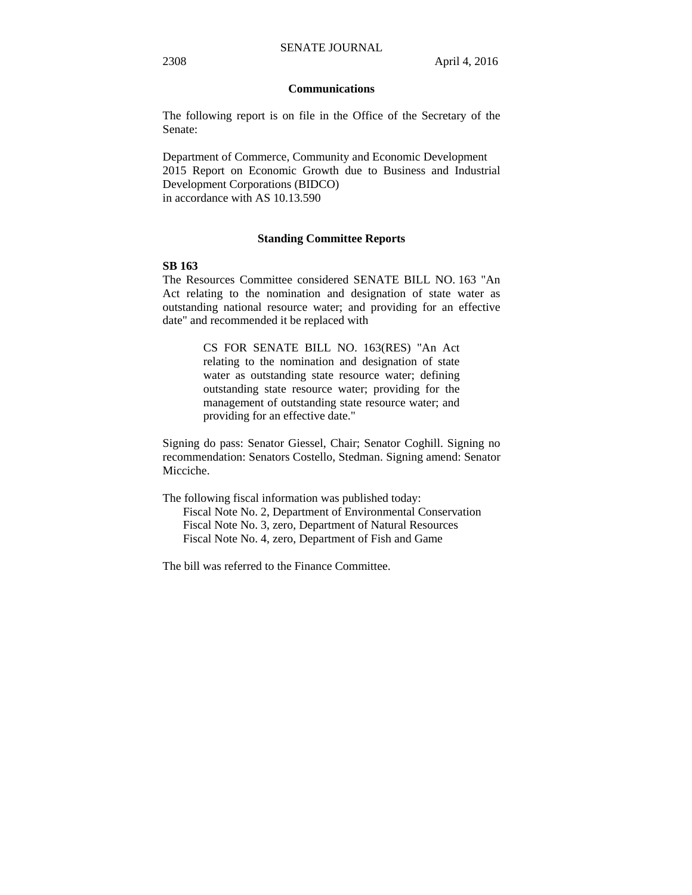#### **Communications**

The following report is on file in the Office of the Secretary of the Senate:

Department of Commerce, Community and Economic Development 2015 Report on Economic Growth due to Business and Industrial Development Corporations (BIDCO) in accordance with AS 10.13.590

#### **Standing Committee Reports**

## **SB 163**

The Resources Committee considered SENATE BILL NO. 163 "An Act relating to the nomination and designation of state water as outstanding national resource water; and providing for an effective date" and recommended it be replaced with

> CS FOR SENATE BILL NO. 163(RES) "An Act relating to the nomination and designation of state water as outstanding state resource water; defining outstanding state resource water; providing for the management of outstanding state resource water; and providing for an effective date."

Signing do pass: Senator Giessel, Chair; Senator Coghill. Signing no recommendation: Senators Costello, Stedman. Signing amend: Senator Micciche.

The following fiscal information was published today:

Fiscal Note No. 2, Department of Environmental Conservation Fiscal Note No. 3, zero, Department of Natural Resources Fiscal Note No. 4, zero, Department of Fish and Game

The bill was referred to the Finance Committee.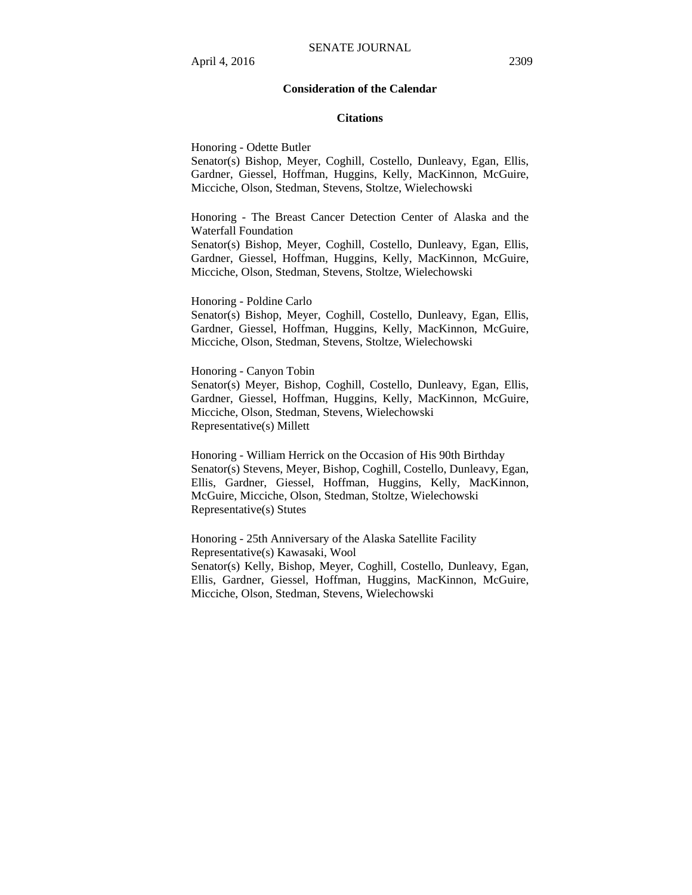## **Consideration of the Calendar**

## **Citations**

Honoring - Odette Butler

Senator(s) Bishop, Meyer, Coghill, Costello, Dunleavy, Egan, Ellis, Gardner, Giessel, Hoffman, Huggins, Kelly, MacKinnon, McGuire, Micciche, Olson, Stedman, Stevens, Stoltze, Wielechowski

Honoring - The Breast Cancer Detection Center of Alaska and the Waterfall Foundation

Senator(s) Bishop, Meyer, Coghill, Costello, Dunleavy, Egan, Ellis, Gardner, Giessel, Hoffman, Huggins, Kelly, MacKinnon, McGuire, Micciche, Olson, Stedman, Stevens, Stoltze, Wielechowski

Honoring - Poldine Carlo

Senator(s) Bishop, Meyer, Coghill, Costello, Dunleavy, Egan, Ellis, Gardner, Giessel, Hoffman, Huggins, Kelly, MacKinnon, McGuire, Micciche, Olson, Stedman, Stevens, Stoltze, Wielechowski

Honoring - Canyon Tobin

Senator(s) Meyer, Bishop, Coghill, Costello, Dunleavy, Egan, Ellis, Gardner, Giessel, Hoffman, Huggins, Kelly, MacKinnon, McGuire, Micciche, Olson, Stedman, Stevens, Wielechowski Representative(s) Millett

Honoring - William Herrick on the Occasion of His 90th Birthday Senator(s) Stevens, Meyer, Bishop, Coghill, Costello, Dunleavy, Egan, Ellis, Gardner, Giessel, Hoffman, Huggins, Kelly, MacKinnon, McGuire, Micciche, Olson, Stedman, Stoltze, Wielechowski Representative(s) Stutes

Honoring - 25th Anniversary of the Alaska Satellite Facility Representative(s) Kawasaki, Wool Senator(s) Kelly, Bishop, Meyer, Coghill, Costello, Dunleavy, Egan, Ellis, Gardner, Giessel, Hoffman, Huggins, MacKinnon, McGuire, Micciche, Olson, Stedman, Stevens, Wielechowski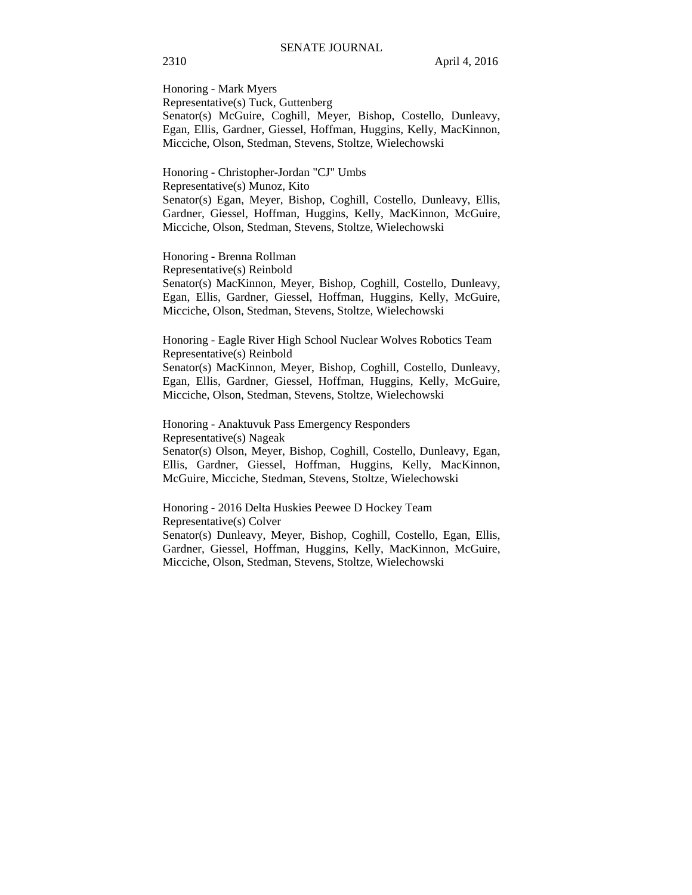Honoring - Mark Myers Representative(s) Tuck, Guttenberg Senator(s) McGuire, Coghill, Meyer, Bishop, Costello, Dunleavy, Egan, Ellis, Gardner, Giessel, Hoffman, Huggins, Kelly, MacKinnon, Micciche, Olson, Stedman, Stevens, Stoltze, Wielechowski

Honoring - Christopher-Jordan "CJ" Umbs Representative(s) Munoz, Kito Senator(s) Egan, Meyer, Bishop, Coghill, Costello, Dunleavy, Ellis, Gardner, Giessel, Hoffman, Huggins, Kelly, MacKinnon, McGuire, Micciche, Olson, Stedman, Stevens, Stoltze, Wielechowski

Honoring - Brenna Rollman Representative(s) Reinbold Senator(s) MacKinnon, Meyer, Bishop, Coghill, Costello, Dunleavy, Egan, Ellis, Gardner, Giessel, Hoffman, Huggins, Kelly, McGuire, Micciche, Olson, Stedman, Stevens, Stoltze, Wielechowski

Honoring - Eagle River High School Nuclear Wolves Robotics Team Representative(s) Reinbold

Senator(s) MacKinnon, Meyer, Bishop, Coghill, Costello, Dunleavy, Egan, Ellis, Gardner, Giessel, Hoffman, Huggins, Kelly, McGuire, Micciche, Olson, Stedman, Stevens, Stoltze, Wielechowski

Honoring - Anaktuvuk Pass Emergency Responders Representative(s) Nageak Senator(s) Olson, Meyer, Bishop, Coghill, Costello, Dunleavy, Egan, Ellis, Gardner, Giessel, Hoffman, Huggins, Kelly, MacKinnon, McGuire, Micciche, Stedman, Stevens, Stoltze, Wielechowski

Honoring - 2016 Delta Huskies Peewee D Hockey Team Representative(s) Colver Senator(s) Dunleavy, Meyer, Bishop, Coghill, Costello, Egan, Ellis, Gardner, Giessel, Hoffman, Huggins, Kelly, MacKinnon, McGuire, Micciche, Olson, Stedman, Stevens, Stoltze, Wielechowski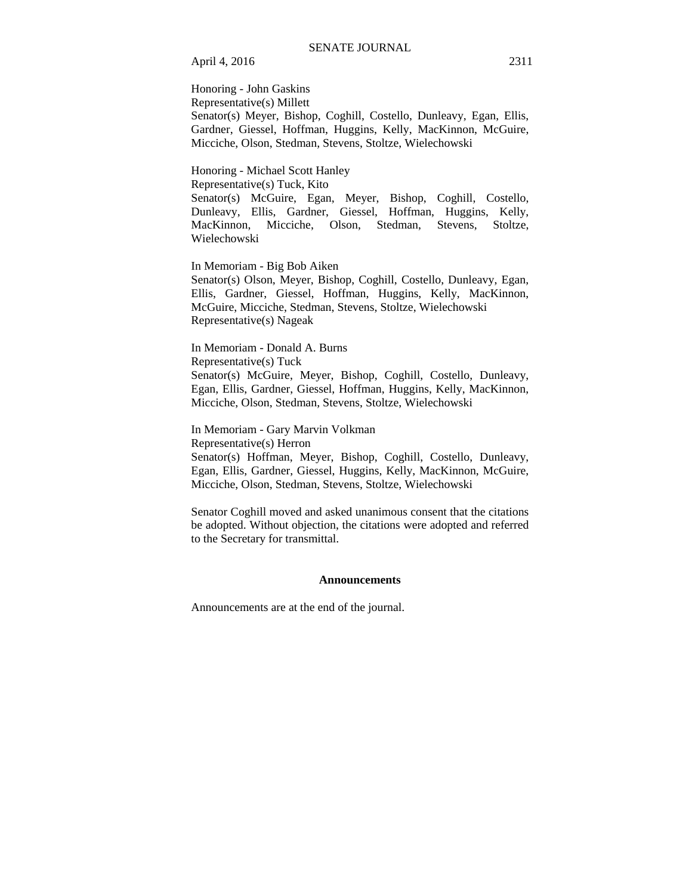April 4, 2016 2311

Honoring - John Gaskins Representative(s) Millett Senator(s) Meyer, Bishop, Coghill, Costello, Dunleavy, Egan, Ellis, Gardner, Giessel, Hoffman, Huggins, Kelly, MacKinnon, McGuire, Micciche, Olson, Stedman, Stevens, Stoltze, Wielechowski

Honoring - Michael Scott Hanley Representative(s) Tuck, Kito

Senator(s) McGuire, Egan, Meyer, Bishop, Coghill, Costello, Dunleavy, Ellis, Gardner, Giessel, Hoffman, Huggins, Kelly, MacKinnon, Micciche, Olson, Stedman, Stevens, Stoltze, Wielechowski

In Memoriam - Big Bob Aiken

Senator(s) Olson, Meyer, Bishop, Coghill, Costello, Dunleavy, Egan, Ellis, Gardner, Giessel, Hoffman, Huggins, Kelly, MacKinnon, McGuire, Micciche, Stedman, Stevens, Stoltze, Wielechowski Representative(s) Nageak

In Memoriam - Donald A. Burns Representative(s) Tuck Senator(s) McGuire, Meyer, Bishop, Coghill, Costello, Dunleavy, Egan, Ellis, Gardner, Giessel, Hoffman, Huggins, Kelly, MacKinnon, Micciche, Olson, Stedman, Stevens, Stoltze, Wielechowski

In Memoriam - Gary Marvin Volkman Representative(s) Herron

Senator(s) Hoffman, Meyer, Bishop, Coghill, Costello, Dunleavy, Egan, Ellis, Gardner, Giessel, Huggins, Kelly, MacKinnon, McGuire, Micciche, Olson, Stedman, Stevens, Stoltze, Wielechowski

Senator Coghill moved and asked unanimous consent that the citations be adopted. Without objection, the citations were adopted and referred to the Secretary for transmittal.

#### **Announcements**

Announcements are at the end of the journal.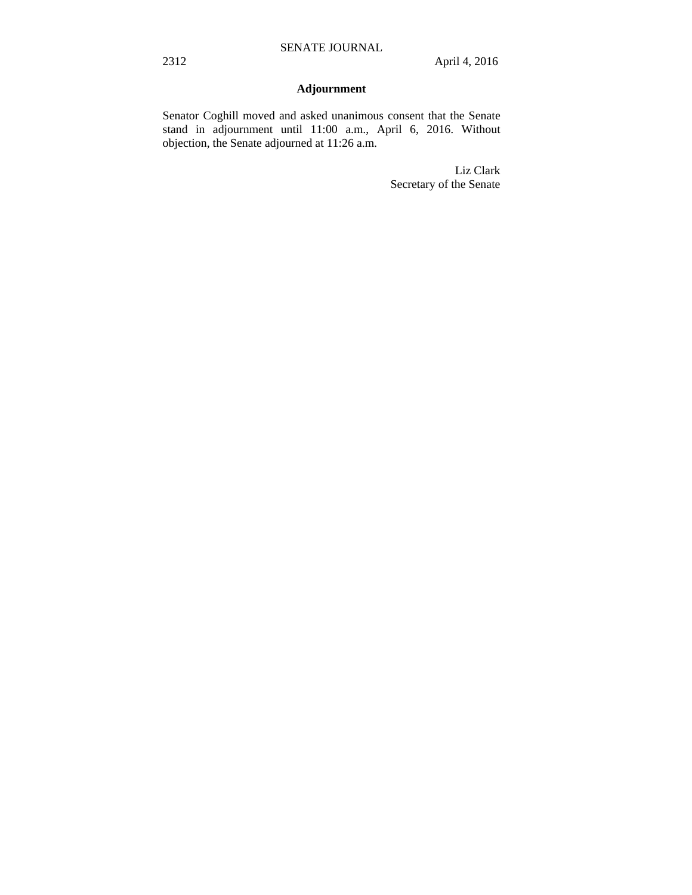# **Adjournment**

Senator Coghill moved and asked unanimous consent that the Senate stand in adjournment until 11:00 a.m., April 6, 2016. Without objection, the Senate adjourned at 11:26 a.m.

> Liz Clark Secretary of the Senate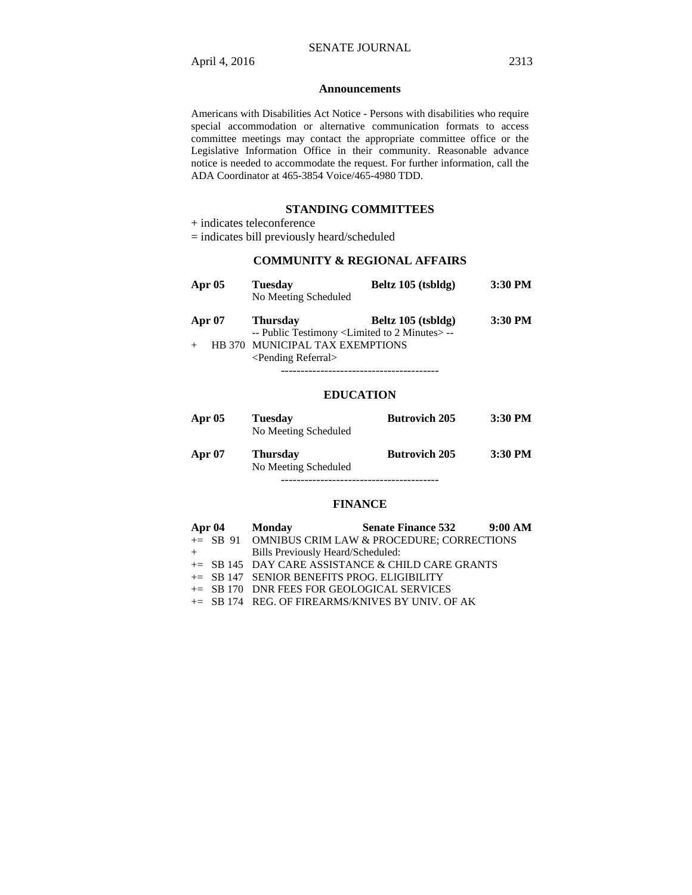Americans with Disabilities Act Notice - Persons with disabilities who require special accommodation or alternative communication formats to access committee meetings may contact the appropriate committee office or the Legislative Information Office in their community. Reasonable advance notice is needed to accommodate the request. For further information, call the ADA Coordinator at 465-3854 Voice/465-4980 TDD.

## **STANDING COMMITTEES**

+ indicates teleconference

= indicates bill previously heard/scheduled

## **COMMUNITY & REGIONAL AFFAIRS**

|     | Apr $05$ | <b>Tuesday</b><br>No Meeting Scheduled                                              | Beltz 105 (tsbldg) | 3:30 PM |
|-----|----------|-------------------------------------------------------------------------------------|--------------------|---------|
|     | Apr $07$ | <b>Thursday</b><br>-- Public Testimony <limited 2="" minutes="" to=""> --</limited> | Beltz 105 (tsbldg) | 3:30 PM |
| $+$ |          | HB 370 MUNICIPAL TAX EXEMPTIONS<br><pending referral=""></pending>                  |                    |         |
|     |          |                                                                                     |                    |         |

## **EDUCATION**

| Apr $05$      | <b>Tuesday</b><br>No Meeting Scheduled  | <b>Butrovich 205</b> | 3:30 PM   |
|---------------|-----------------------------------------|----------------------|-----------|
| <b>Apr</b> 07 | <b>Thursday</b><br>No Meeting Scheduled | <b>Butrovich 205</b> | $3:30$ PM |
|               |                                         |                      |           |

#### **FINANCE**

|         | Apr 04 Monday                                 | Senate Finance 532 9:00 AM                         |  |
|---------|-----------------------------------------------|----------------------------------------------------|--|
|         |                                               | += SB 91 OMNIBUS CRIM LAW & PROCEDURE; CORRECTIONS |  |
| $+$ $-$ | Bills Previously Heard/Scheduled:             |                                                    |  |
|         |                                               | += SB 145 DAY CARE ASSISTANCE & CHILD CARE GRANTS  |  |
|         | $+=$ SB 147 SENIOR BENEFITS PROG. ELIGIBILITY |                                                    |  |
|         | $+=$ SB 170 DNR FEES FOR GEOLOGICAL SERVICES  |                                                    |  |
|         |                                               | $+=$ SB 174 REG. OF FIREARMS/KNIVES BY UNIV. OF AK |  |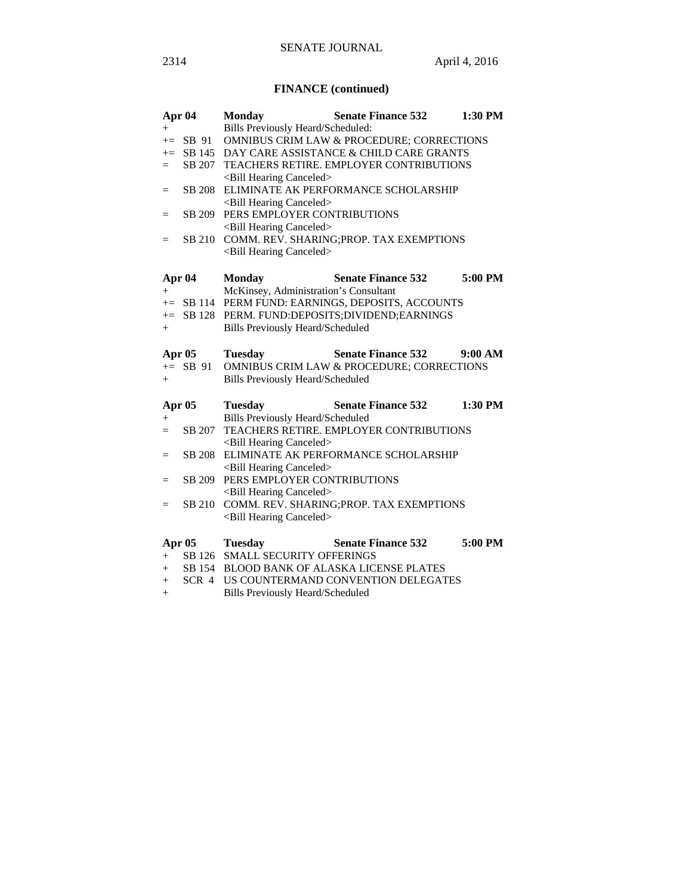# **FINANCE (continued)**

| Apr 04        |             | <b>Monday</b>                                  | <b>Senate Finance 532</b>                         | 1:30 PM |
|---------------|-------------|------------------------------------------------|---------------------------------------------------|---------|
| $^{+}$        |             | Bills Previously Heard/Scheduled:              |                                                   |         |
|               | $\pm$ SB 91 |                                                | OMNIBUS CRIM LAW & PROCEDURE; CORRECTIONS         |         |
|               |             |                                                | += SB 145 DAY CARE ASSISTANCE & CHILD CARE GRANTS |         |
| $=$           |             | SB 207 TEACHERS RETIRE. EMPLOYER CONTRIBUTIONS |                                                   |         |
|               |             | <bill canceled="" hearing=""></bill>           |                                                   |         |
| $=$           | SB 208      | ELIMINATE AK PERFORMANCE SCHOLARSHIP           |                                                   |         |
|               |             | <bill canceled="" hearing=""></bill>           |                                                   |         |
| $=$           | SB 209      | PERS EMPLOYER CONTRIBUTIONS                    |                                                   |         |
|               |             | <bill canceled="" hearing=""></bill>           |                                                   |         |
| $=$           |             |                                                | SB 210 COMM. REV. SHARING; PROP. TAX EXEMPTIONS   |         |
|               |             | <bill canceled="" hearing=""></bill>           |                                                   |         |
| Apr 04        |             | <b>Monday</b>                                  | <b>Senate Finance 532</b>                         | 5:00 PM |
| $+$           |             | McKinsey, Administration's Consultant          |                                                   |         |
|               |             |                                                | += SB 114 PERM FUND: EARNINGS, DEPOSITS, ACCOUNTS |         |
|               |             |                                                | += SB 128 PERM. FUND:DEPOSITS;DIVIDEND;EARNINGS   |         |
| $^{+}$        |             | <b>Bills Previously Heard/Scheduled</b>        |                                                   |         |
| <b>Apr 05</b> |             | <b>Tuesday</b>                                 | <b>Senate Finance 532</b>                         | 9:00 AM |
|               | $+=$ SB 91  |                                                | OMNIBUS CRIM LAW & PROCEDURE; CORRECTIONS         |         |
| $+$           |             | <b>Bills Previously Heard/Scheduled</b>        |                                                   |         |
| Apr 05        |             | <b>Tuesday</b>                                 | <b>Senate Finance 532</b>                         | 1:30 PM |
| $+$           |             | <b>Bills Previously Heard/Scheduled</b>        |                                                   |         |
| $=$           |             |                                                | SB 207 TEACHERS RETIRE. EMPLOYER CONTRIBUTIONS    |         |
|               |             | <bill canceled="" hearing=""></bill>           |                                                   |         |
| Ξ             |             |                                                | SB 208 ELIMINATE AK PERFORMANCE SCHOLARSHIP       |         |
|               |             | <bill canceled="" hearing=""></bill>           |                                                   |         |
| $=$           |             | SB 209 PERS EMPLOYER CONTRIBUTIONS             |                                                   |         |
|               |             | <bill canceled="" hearing=""></bill>           |                                                   |         |
| Ξ             |             |                                                | SB 210 COMM. REV. SHARING; PROP. TAX EXEMPTIONS   |         |
|               |             | <bill canceled="" hearing=""></bill>           |                                                   |         |
|               |             | Apr 05 Tuesday                                 | <b>Senate Finance 532</b>                         | 5:00 PM |
| $+$           |             | SB 126 SMALL SECURITY OFFERINGS                |                                                   |         |
| $+$           |             |                                                | SB 154 BLOOD BANK OF ALASKA LICENSE PLATES        |         |
|               |             |                                                |                                                   |         |
| $^{+}$        |             |                                                | SCR 4 US COUNTERMAND CONVENTION DELEGATES         |         |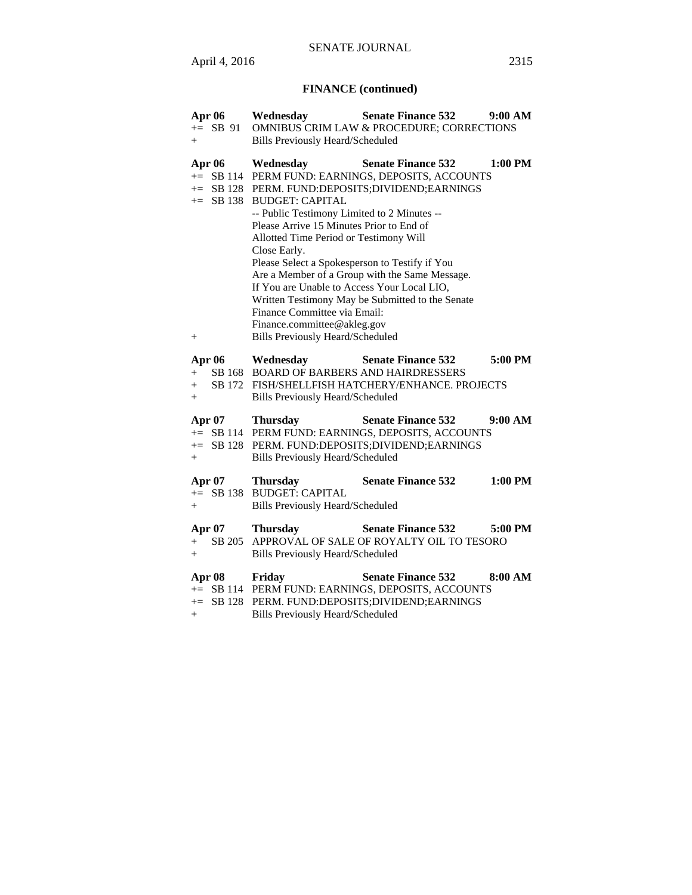# **FINANCE (continued)**

| Apr $06$<br>$+=$ SB 91<br>$+$         | <b>Senate Finance 532</b><br>Wednesday<br>9:00 AM<br>OMNIBUS CRIM LAW & PROCEDURE; CORRECTIONS<br><b>Bills Previously Heard/Scheduled</b>                                                                                                                                                                                                                                                                                                                                                                                                                                                                                                                    |  |
|---------------------------------------|--------------------------------------------------------------------------------------------------------------------------------------------------------------------------------------------------------------------------------------------------------------------------------------------------------------------------------------------------------------------------------------------------------------------------------------------------------------------------------------------------------------------------------------------------------------------------------------------------------------------------------------------------------------|--|
| <b>Apr 06</b><br>$^{+}$               | 1:00 PM<br>Wednesday<br><b>Senate Finance 532</b><br>+= SB 114 PERM FUND: EARNINGS, DEPOSITS, ACCOUNTS<br>+= SB 128 PERM. FUND:DEPOSITS;DIVIDEND;EARNINGS<br>+= SB 138 BUDGET: CAPITAL<br>-- Public Testimony Limited to 2 Minutes --<br>Please Arrive 15 Minutes Prior to End of<br>Allotted Time Period or Testimony Will<br>Close Early.<br>Please Select a Spokesperson to Testify if You<br>Are a Member of a Group with the Same Message.<br>If You are Unable to Access Your Local LIO,<br>Written Testimony May be Submitted to the Senate<br>Finance Committee via Email:<br>Finance.committee@akleg.gov<br><b>Bills Previously Heard/Scheduled</b> |  |
| <b>Apr 06</b><br>$+$<br>$+$<br>$+$    | <b>Senate Finance 532</b><br>5:00 PM<br>Wednesday<br>SB 168 BOARD OF BARBERS AND HAIRDRESSERS<br>SB 172 FISH/SHELLFISH HATCHERY/ENHANCE, PROJECTS<br><b>Bills Previously Heard/Scheduled</b>                                                                                                                                                                                                                                                                                                                                                                                                                                                                 |  |
| <b>Apr 07</b><br>$+$                  | 9:00 AM<br><b>Thursday</b><br><b>Senate Finance 532</b><br>+= SB 114 PERM FUND: EARNINGS, DEPOSITS, ACCOUNTS<br>+= SB 128 PERM. FUND:DEPOSITS;DIVIDEND;EARNINGS<br><b>Bills Previously Heard/Scheduled</b>                                                                                                                                                                                                                                                                                                                                                                                                                                                   |  |
| <b>Apr 07</b><br>$+$                  | <b>Senate Finance 532</b><br>1:00 PM<br><b>Thursday</b><br>+= SB 138 BUDGET: CAPITAL<br><b>Bills Previously Heard/Scheduled</b>                                                                                                                                                                                                                                                                                                                                                                                                                                                                                                                              |  |
| <b>Apr 07</b><br>SB 205<br>$+$<br>$+$ | <b>Thursday</b><br><b>Senate Finance 532</b><br>5:00 PM<br>APPROVAL OF SALE OF ROYALTY OIL TO TESORO<br><b>Bills Previously Heard/Scheduled</b>                                                                                                                                                                                                                                                                                                                                                                                                                                                                                                              |  |
| <b>Apr 08</b><br>$+=$<br>$+$          | 8:00 AM<br>Friday<br><b>Senate Finance 532</b><br>+= SB 114 PERM FUND: EARNINGS, DEPOSITS, ACCOUNTS<br>SB 128 PERM. FUND:DEPOSITS;DIVIDEND;EARNINGS<br><b>Bills Previously Heard/Scheduled</b>                                                                                                                                                                                                                                                                                                                                                                                                                                                               |  |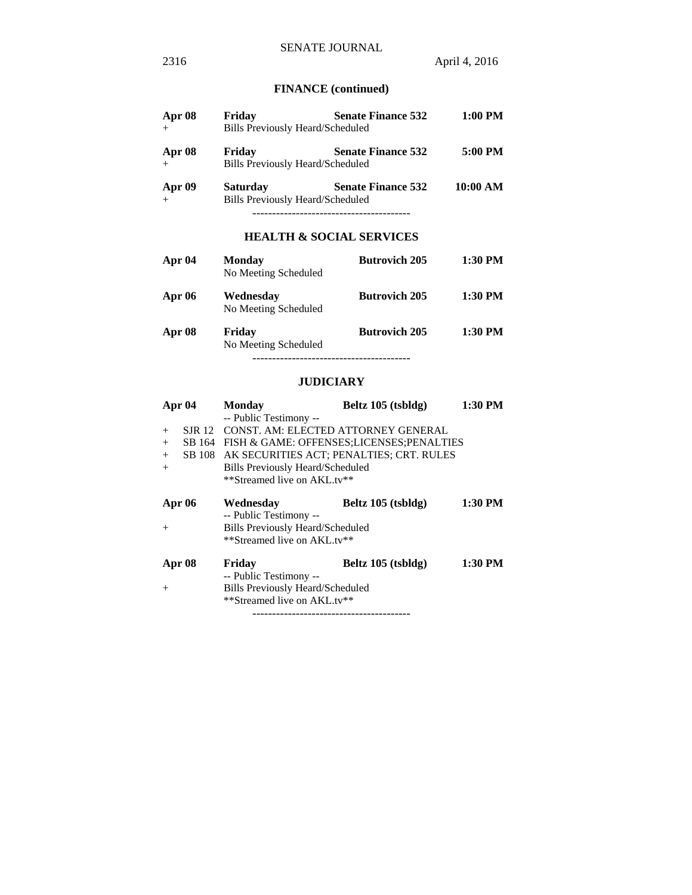# **FINANCE (continued)**

| Apr 08<br>$+$   | Friday<br><b>Bills Previously Heard/Scheduled</b>   | <b>Senate Finance 532</b> | 1:00 PM  |
|-----------------|-----------------------------------------------------|---------------------------|----------|
| Apr 08<br>$+$   | Friday<br>Bills Previously Heard/Scheduled          | <b>Senate Finance 532</b> | 5:00 PM  |
| Apr $09$<br>$+$ | <b>Saturday</b><br>Bills Previously Heard/Scheduled | <b>Senate Finance 532</b> | 10:00 AM |

# **HEALTH & SOCIAL SERVICES**

| Apr 04   | <b>Monday</b><br>No Meeting Scheduled | <b>Butrovich 205</b> | 1:30 PM   |
|----------|---------------------------------------|----------------------|-----------|
| Apr $06$ | Wednesdav<br>No Meeting Scheduled     | <b>Butrovich 205</b> | $1:30$ PM |
| Apr 08   | Friday<br>No Meeting Scheduled        | <b>Butrovich 205</b> | $1:30$ PM |

# **JUDICIARY**

| Apr $04$      |               | <b>Monday</b><br>-- Public Testimony --         | Beltz $105$ (tsbldg) | 1:30 PM |
|---------------|---------------|-------------------------------------------------|----------------------|---------|
| $+$           | <b>SJR</b> 12 | CONST. AM: ELECTED ATTORNEY GENERAL             |                      |         |
| $+$           |               | SB 164 FISH & GAME: OFFENSES;LICENSES;PENALTIES |                      |         |
| $+$           |               | SB 108 AK SECURITIES ACT; PENALTIES; CRT. RULES |                      |         |
| $+$           |               | <b>Bills Previously Heard/Scheduled</b>         |                      |         |
|               |               | **Streamed live on AKL.tv**                     |                      |         |
| <b>Apr 06</b> |               | Wednesday<br>-- Public Testimony --             | Beltz 105 (tsbldg)   | 1:30 PM |
| $+$           |               | <b>Bills Previously Heard/Scheduled</b>         |                      |         |
|               |               | **Streamed live on AKL.tv**                     |                      |         |
| Apr 08        |               | Friday<br>-- Public Testimony --                | Beltz 105 (tsbldg)   | 1:30 PM |
| $+$           |               | <b>Bills Previously Heard/Scheduled</b>         |                      |         |
|               |               | **Streamed live on AKL.tv**                     |                      |         |
|               |               |                                                 |                      |         |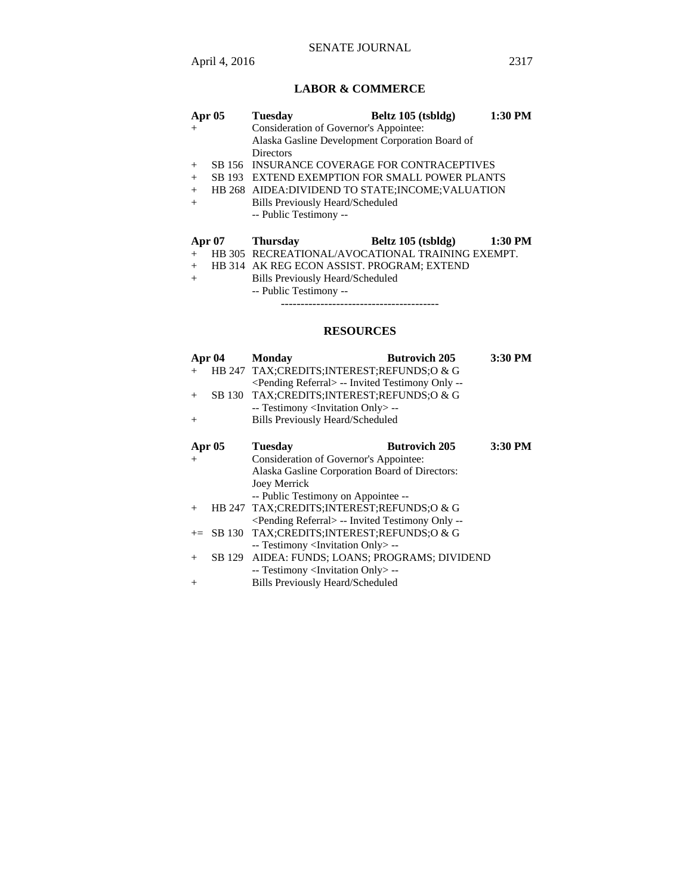# **LABOR & COMMERCE**

| Apr $05$      |                                                    | <b>Tuesday</b>                                   | Beltz 105 (tsbldg)                     | 1:30 PM |  |  |
|---------------|----------------------------------------------------|--------------------------------------------------|----------------------------------------|---------|--|--|
| $+$           |                                                    |                                                  | Consideration of Governor's Appointee: |         |  |  |
|               |                                                    | Alaska Gasline Development Corporation Board of  |                                        |         |  |  |
|               |                                                    | <b>Directors</b>                                 |                                        |         |  |  |
| $+$           |                                                    | SB 156 INSURANCE COVERAGE FOR CONTRACEPTIVES     |                                        |         |  |  |
| $+$           | SB 193                                             | EXTEND EXEMPTION FOR SMALL POWER PLANTS          |                                        |         |  |  |
| $+$           | HB 268 AIDEA: DIVIDEND TO STATE: INCOME: VALUATION |                                                  |                                        |         |  |  |
| $+$           |                                                    | <b>Bills Previously Heard/Scheduled</b>          |                                        |         |  |  |
|               |                                                    | -- Public Testimony --                           |                                        |         |  |  |
| <b>Apr 07</b> |                                                    | Thursday                                         | Beltz 105 (tsbldg)                     | 1:30 PM |  |  |
| $+$           |                                                    | HB 305 RECREATIONAL/AVOCATIONAL TRAINING EXEMPT. |                                        |         |  |  |
| $+$           |                                                    | HB 314 AK REG ECON ASSIST. PROGRAM: EXTEND       |                                        |         |  |  |
|               |                                                    | D.H. Description Hourd (Colorado La d            |                                        |         |  |  |

+ Bills Previously Heard/Scheduled -- Public Testimony --

----------------------------------------

# **RESOURCES**

|        | Apr 04   | <b>Monday</b>                                                | <b>Butrovich 205</b> | 3:30 PM |
|--------|----------|--------------------------------------------------------------|----------------------|---------|
| $^{+}$ |          | HB 247 TAX;CREDITS;INTEREST;REFUNDS;O & G                    |                      |         |
|        |          | <pending referral=""> -- Invited Testimony Only --</pending> |                      |         |
| $^{+}$ |          | SB 130 TAX;CREDITS;INTEREST;REFUNDS;O & G                    |                      |         |
|        |          | -- Testimony <invitation only=""> --</invitation>            |                      |         |
| $^{+}$ |          | <b>Bills Previously Heard/Scheduled</b>                      |                      |         |
|        | Apr $05$ | <b>Tuesday</b>                                               | <b>Butrovich 205</b> | 3:30 PM |
| $^{+}$ |          | Consideration of Governor's Appointee:                       |                      |         |
|        |          | Alaska Gasline Corporation Board of Directors:               |                      |         |
|        |          | Joey Merrick                                                 |                      |         |
|        |          | -- Public Testimony on Appointee --                          |                      |         |
| $+$    |          | HB 247 TAX;CREDITS;INTEREST;REFUNDS;O & G                    |                      |         |
|        |          | <pending referral=""> -- Invited Testimony Only --</pending> |                      |         |
|        |          | $\pm$ SB 130 TAX;CREDITS;INTEREST;REFUNDS;O & G              |                      |         |
|        |          | -- Testimony <invitation only=""> --</invitation>            |                      |         |
| $^{+}$ | SB 129   | AIDEA: FUNDS; LOANS; PROGRAMS; DIVIDEND                      |                      |         |
|        |          | -- Testimony <invitation only=""> --</invitation>            |                      |         |
| $^{+}$ |          | <b>Bills Previously Heard/Scheduled</b>                      |                      |         |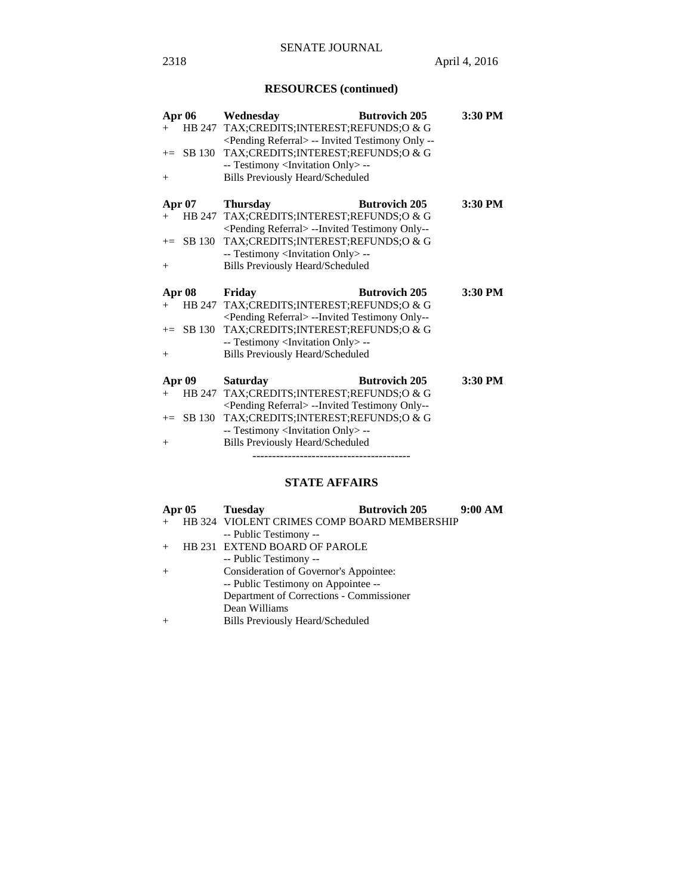# **RESOURCES (continued)**

|        | Apr 06        | Wednesday                                                                                         | <b>Butrovich 205</b> | 3:30 PM |
|--------|---------------|---------------------------------------------------------------------------------------------------|----------------------|---------|
| $^{+}$ |               | HB 247 TAX;CREDITS;INTEREST;REFUNDS;O & G                                                         |                      |         |
|        |               | <pending referral=""> -- Invited Testimony Only --</pending>                                      |                      |         |
| $+=$   |               | SB 130 TAX; CREDITS; INTEREST; REFUNDS; O & G                                                     |                      |         |
|        |               | -- Testimony <invitation only=""> --</invitation>                                                 |                      |         |
| $^{+}$ |               | <b>Bills Previously Heard/Scheduled</b>                                                           |                      |         |
|        | <b>Apr 07</b> | <b>Thursday</b>                                                                                   | <b>Butrovich 205</b> | 3:30 PM |
| $^{+}$ |               | HB 247 TAX; CREDITS; INTEREST; REFUNDS; O & G                                                     |                      |         |
|        |               | <pending referral=""> --Invited Testimony Only--</pending>                                        |                      |         |
|        |               | $+=$ SB 130 TAX;CREDITS;INTEREST;REFUNDS;O & G                                                    |                      |         |
|        |               | -- Testimony <invitation only=""> --</invitation>                                                 |                      |         |
| $^{+}$ |               | <b>Bills Previously Heard/Scheduled</b>                                                           |                      |         |
|        | Apr 08        | Friday                                                                                            | <b>Butrovich 205</b> | 3:30 PM |
|        |               |                                                                                                   |                      |         |
|        |               |                                                                                                   |                      |         |
| $+$    |               | HB 247 TAX; CREDITS; INTEREST; REFUNDS; O & G                                                     |                      |         |
|        |               | <pending referral=""> --Invited Testimony Only--</pending>                                        |                      |         |
|        |               | += SB 130 TAX;CREDITS;INTEREST;REFUNDS;O & G<br>-- Testimony <invitation only=""> --</invitation> |                      |         |
| $+$    |               | <b>Bills Previously Heard/Scheduled</b>                                                           |                      |         |
|        |               |                                                                                                   |                      |         |
| $^{+}$ | Apr 09        | <b>Saturday</b>                                                                                   | <b>Butrovich 205</b> | 3:30 PM |
|        |               | HB 247 TAX; CREDITS; INTEREST; REFUNDS; O & G                                                     |                      |         |
|        | $+=$ SB 130   | <pending referral=""> --Invited Testimony Only--</pending>                                        |                      |         |
|        |               | TAX;CREDITS;INTEREST;REFUNDS;O & G<br>-- Testimony <invitation only=""> --</invitation>           |                      |         |
| $+$    |               | Bills Previously Heard/Scheduled                                                                  |                      |         |
|        |               |                                                                                                   |                      |         |

# **STATE AFFAIRS**

|        | Apr 05 Tuesday                              | <b>Butrovich 205</b> | 9:00 AM |
|--------|---------------------------------------------|----------------------|---------|
| $+$    | HB 324 VIOLENT CRIMES COMP BOARD MEMBERSHIP |                      |         |
|        | -- Public Testimony --                      |                      |         |
| $+$    | HB 231 EXTEND BOARD OF PAROLE               |                      |         |
|        | -- Public Testimony --                      |                      |         |
| $+$    | Consideration of Governor's Appointee:      |                      |         |
|        | -- Public Testimony on Appointee --         |                      |         |
|        | Department of Corrections - Commissioner    |                      |         |
|        | Dean Williams                               |                      |         |
| $^{+}$ | Bills Previously Heard/Scheduled            |                      |         |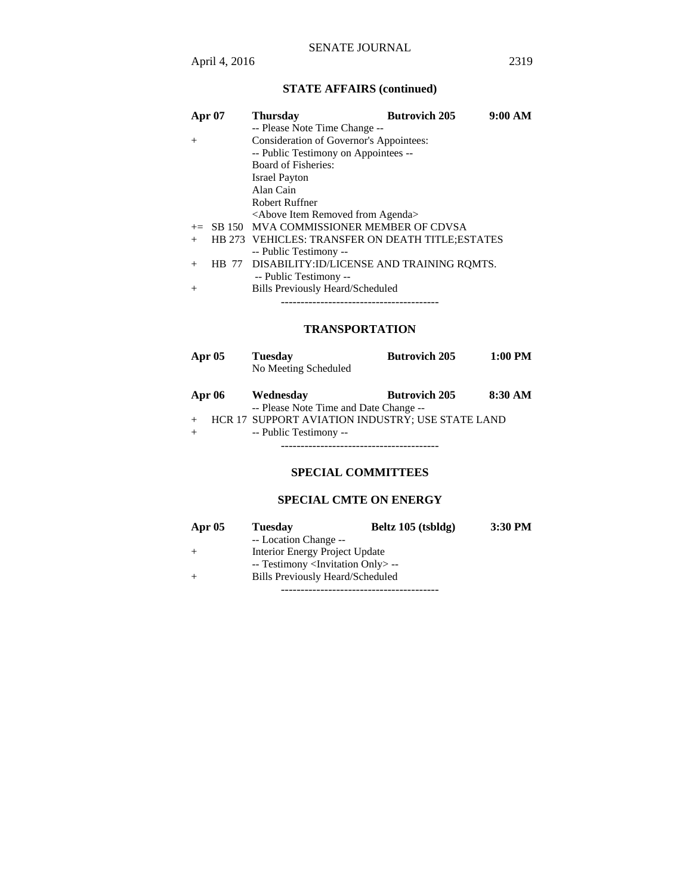# **STATE AFFAIRS (continued)**

| <b>Apr 07</b> |                                         | <b>Thursday</b>                                      | <b>Butrovich 205</b> | 9:00 AM |  |  |
|---------------|-----------------------------------------|------------------------------------------------------|----------------------|---------|--|--|
|               |                                         | -- Please Note Time Change --                        |                      |         |  |  |
| $^{+}$        | Consideration of Governor's Appointees: |                                                      |                      |         |  |  |
|               |                                         | -- Public Testimony on Appointees --                 |                      |         |  |  |
|               |                                         | <b>Board of Fisheries:</b>                           |                      |         |  |  |
|               |                                         | <b>Israel Payton</b>                                 |                      |         |  |  |
|               |                                         | Alan Cain                                            |                      |         |  |  |
|               |                                         | Robert Ruffner                                       |                      |         |  |  |
|               |                                         | <above agenda="" from="" item="" removed=""></above> |                      |         |  |  |
|               |                                         | $+=$ SB 150 MVA COMMISSIONER MEMBER OF CDVSA         |                      |         |  |  |
| $+$           |                                         | HB 273 VEHICLES: TRANSFER ON DEATH TITLE: ESTATES    |                      |         |  |  |
|               |                                         | -- Public Testimony --                               |                      |         |  |  |
| $^{+}$        |                                         | HB 77 DISABILITY:ID/LICENSE AND TRAINING ROMTS.      |                      |         |  |  |
|               |                                         | -- Public Testimony --                               |                      |         |  |  |
| $^{+}$        |                                         | <b>Bills Previously Heard/Scheduled</b>              |                      |         |  |  |
|               |                                         |                                                      |                      |         |  |  |

## **TRANSPORTATION**

| Apr $05$ | <b>Tuesday</b><br>No Meeting Scheduled                                     | <b>Butrovich 205</b> | 1:00 PM |  |  |  |  |
|----------|----------------------------------------------------------------------------|----------------------|---------|--|--|--|--|
| Apr $06$ | Wednesday<br>-- Please Note Time and Date Change --                        | <b>Butrovich 205</b> | 8:30 AM |  |  |  |  |
|          | HCR 17 SUPPORT AVIATION INDUSTRY; USE STATE LAND<br>-- Public Testimony -- |                      |         |  |  |  |  |
|          |                                                                            |                      |         |  |  |  |  |

## **SPECIAL COMMITTEES**

## **SPECIAL CMTE ON ENERGY**

| Apr $05$ | <b>Tuesday</b>                                    | Beltz 105 (tsbldg) | 3:30 PM |  |  |  |
|----------|---------------------------------------------------|--------------------|---------|--|--|--|
|          | -- Location Change --                             |                    |         |  |  |  |
| $+$      | <b>Interior Energy Project Update</b>             |                    |         |  |  |  |
|          | -- Testimony <invitation only=""> --</invitation> |                    |         |  |  |  |
| $+$      | <b>Bills Previously Heard/Scheduled</b>           |                    |         |  |  |  |
|          |                                                   |                    |         |  |  |  |